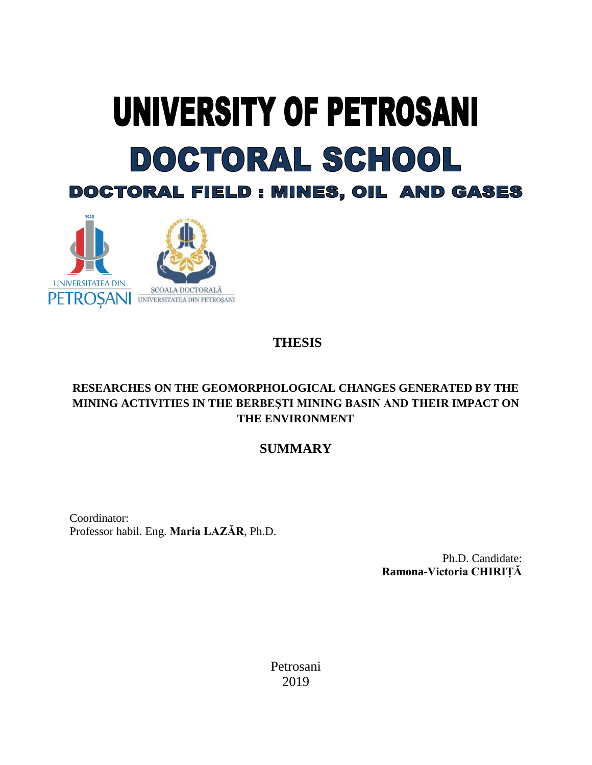# UNIVERSITY OF PETROSANI DOCTORAL SCHOOL **DOCTORAL FIELD : MINES, OIL AND GASES**



## **THESIS**

## **RESEARCHES ON THE GEOMORPHOLOGICAL CHANGES GENERATED BY THE MINING ACTIVITIES IN THE BERBEŞTI MINING BASIN AND THEIR IMPACT ON THE ENVIRONMENT**

## **SUMMARY**

Coordinator: Professor habil. Eng. **Maria LAZĂR**, Ph.D.

> Ph.D. Candidate: **Ramona-Victoria CHIRIȚĂ**

Petrosani 2019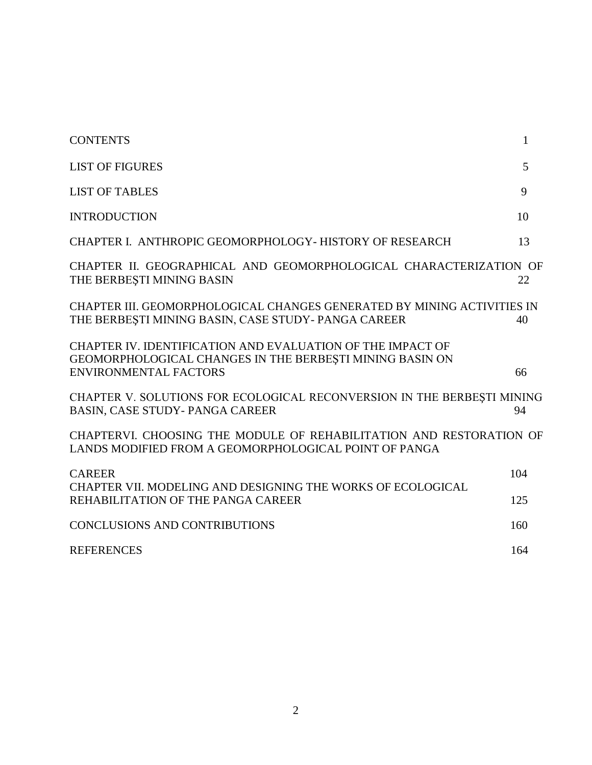| <b>CONTENTS</b>                                                                                                                                        | 1   |
|--------------------------------------------------------------------------------------------------------------------------------------------------------|-----|
| <b>LIST OF FIGURES</b>                                                                                                                                 | 5   |
| <b>LIST OF TABLES</b>                                                                                                                                  | 9   |
| <b>INTRODUCTION</b>                                                                                                                                    | 10  |
| CHAPTER I. ANTHROPIC GEOMORPHOLOGY- HISTORY OF RESEARCH                                                                                                | 13  |
| CHAPTER II. GEOGRAPHICAL AND GEOMORPHOLOGICAL CHARACTERIZATION OF<br>THE BERBESTI MINING BASIN                                                         | 22  |
| CHAPTER III. GEOMORPHOLOGICAL CHANGES GENERATED BY MINING ACTIVITIES IN<br>THE BERBESTI MINING BASIN, CASE STUDY-PANGA CAREER                          | 40  |
| CHAPTER IV. IDENTIFICATION AND EVALUATION OF THE IMPACT OF<br>GEOMORPHOLOGICAL CHANGES IN THE BERBESTI MINING BASIN ON<br><b>ENVIRONMENTAL FACTORS</b> | 66  |
| CHAPTER V. SOLUTIONS FOR ECOLOGICAL RECONVERSION IN THE BERBESTI MINING<br>BASIN, CASE STUDY-PANGA CAREER                                              | 94  |
| CHAPTERVI. CHOOSING THE MODULE OF REHABILITATION AND RESTORATION OF<br>LANDS MODIFIED FROM A GEOMORPHOLOGICAL POINT OF PANGA                           |     |
| <b>CAREER</b><br>CHAPTER VII. MODELING AND DESIGNING THE WORKS OF ECOLOGICAL                                                                           | 104 |
| REHABILITATION OF THE PANGA CAREER                                                                                                                     | 125 |
| <b>CONCLUSIONS AND CONTRIBUTIONS</b>                                                                                                                   | 160 |
| <b>REFERENCES</b>                                                                                                                                      | 164 |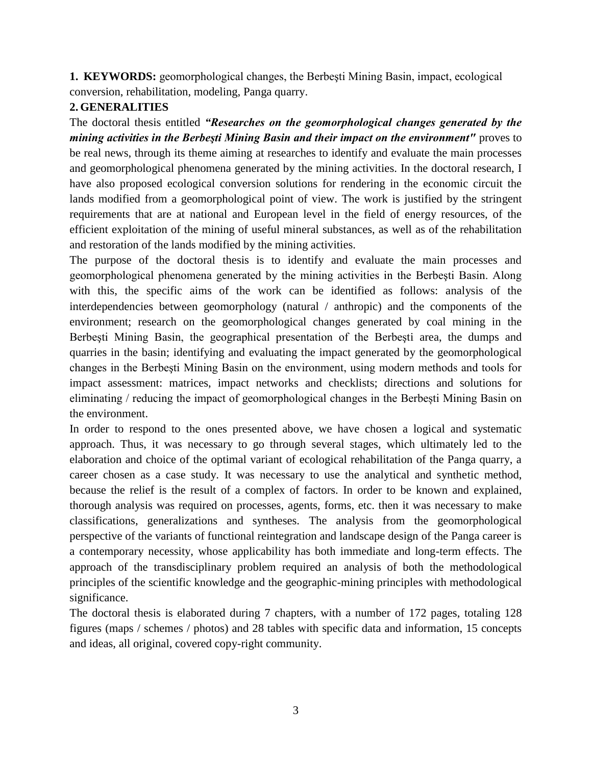**1. KEYWORDS:** geomorphological changes, the Berbeşti Mining Basin, impact, ecological conversion, rehabilitation, modeling, Panga quarry.

### **2. GENERALITIES**

The doctoral thesis entitled *"Researches on the geomorphological changes generated by the mining activities in the Berbesti Mining Basin and their impact on the environment"* proves to be real news, through its theme aiming at researches to identify and evaluate the main processes and geomorphological phenomena generated by the mining activities. In the doctoral research, I have also proposed ecological conversion solutions for rendering in the economic circuit the lands modified from a geomorphological point of view. The work is justified by the stringent requirements that are at national and European level in the field of energy resources, of the efficient exploitation of the mining of useful mineral substances, as well as of the rehabilitation and restoration of the lands modified by the mining activities.

The purpose of the doctoral thesis is to identify and evaluate the main processes and geomorphological phenomena generated by the mining activities in the Berbeşti Basin. Along with this, the specific aims of the work can be identified as follows: analysis of the interdependencies between geomorphology (natural / anthropic) and the components of the environment; research on the geomorphological changes generated by coal mining in the Berbeşti Mining Basin, the geographical presentation of the Berbeşti area, the dumps and quarries in the basin; identifying and evaluating the impact generated by the geomorphological changes in the Berbeşti Mining Basin on the environment, using modern methods and tools for impact assessment: matrices, impact networks and checklists; directions and solutions for eliminating / reducing the impact of geomorphological changes in the Berbești Mining Basin on the environment.

In order to respond to the ones presented above, we have chosen a logical and systematic approach. Thus, it was necessary to go through several stages, which ultimately led to the elaboration and choice of the optimal variant of ecological rehabilitation of the Panga quarry, a career chosen as a case study. It was necessary to use the analytical and synthetic method, because the relief is the result of a complex of factors. In order to be known and explained, thorough analysis was required on processes, agents, forms, etc. then it was necessary to make classifications, generalizations and syntheses. The analysis from the geomorphological perspective of the variants of functional reintegration and landscape design of the Panga career is a contemporary necessity, whose applicability has both immediate and long-term effects. The approach of the transdisciplinary problem required an analysis of both the methodological principles of the scientific knowledge and the geographic-mining principles with methodological significance.

The doctoral thesis is elaborated during 7 chapters, with a number of 172 pages, totaling 128 figures (maps / schemes / photos) and 28 tables with specific data and information, 15 concepts and ideas, all original, covered copy-right community.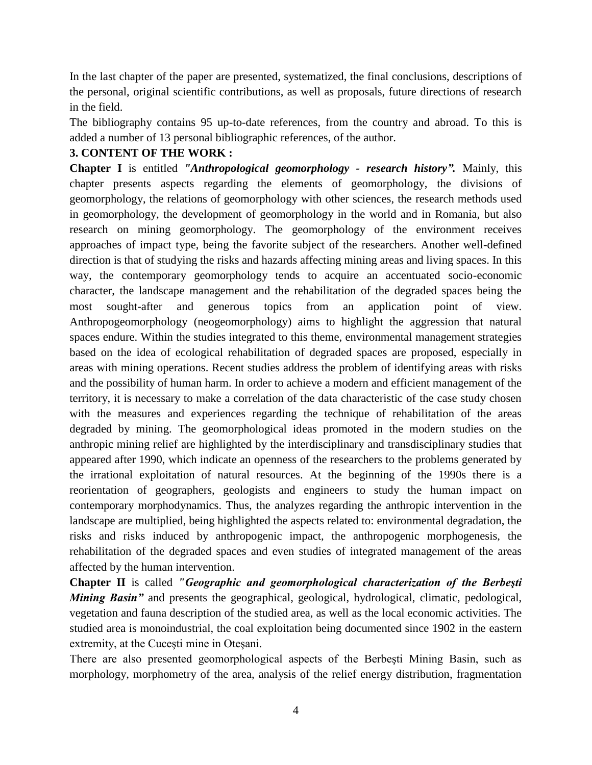In the last chapter of the paper are presented, systematized, the final conclusions, descriptions of the personal, original scientific contributions, as well as proposals, future directions of research in the field.

The bibliography contains 95 up-to-date references, from the country and abroad. To this is added a number of 13 personal bibliographic references, of the author.

#### **3. CONTENT OF THE WORK :**

**Chapter I** is entitled *"Anthropological geomorphology - research history".* Mainly, this chapter presents aspects regarding the elements of geomorphology, the divisions of geomorphology, the relations of geomorphology with other sciences, the research methods used in geomorphology, the development of geomorphology in the world and in Romania, but also research on mining geomorphology. The geomorphology of the environment receives approaches of impact type, being the favorite subject of the researchers. Another well-defined direction is that of studying the risks and hazards affecting mining areas and living spaces. In this way, the contemporary geomorphology tends to acquire an accentuated socio-economic character, the landscape management and the rehabilitation of the degraded spaces being the most sought-after and generous topics from an application point of view. Anthropogeomorphology (neogeomorphology) aims to highlight the aggression that natural spaces endure. Within the studies integrated to this theme, environmental management strategies based on the idea of ecological rehabilitation of degraded spaces are proposed, especially in areas with mining operations. Recent studies address the problem of identifying areas with risks and the possibility of human harm. In order to achieve a modern and efficient management of the territory, it is necessary to make a correlation of the data characteristic of the case study chosen with the measures and experiences regarding the technique of rehabilitation of the areas degraded by mining. The geomorphological ideas promoted in the modern studies on the anthropic mining relief are highlighted by the interdisciplinary and transdisciplinary studies that appeared after 1990, which indicate an openness of the researchers to the problems generated by the irrational exploitation of natural resources. At the beginning of the 1990s there is a reorientation of geographers, geologists and engineers to study the human impact on contemporary morphodynamics. Thus, the analyzes regarding the anthropic intervention in the landscape are multiplied, being highlighted the aspects related to: environmental degradation, the risks and risks induced by anthropogenic impact, the anthropogenic morphogenesis, the rehabilitation of the degraded spaces and even studies of integrated management of the areas affected by the human intervention.

**Chapter II** is called *"Geographic and geomorphological characterization of the Berbeşti Mining Basin*" and presents the geographical, geological, hydrological, climatic, pedological, vegetation and fauna description of the studied area, as well as the local economic activities. The studied area is monoindustrial, the coal exploitation being documented since 1902 in the eastern extremity, at the Cuceşti mine in Oteşani.

There are also presented geomorphological aspects of the Berbeşti Mining Basin, such as morphology, morphometry of the area, analysis of the relief energy distribution, fragmentation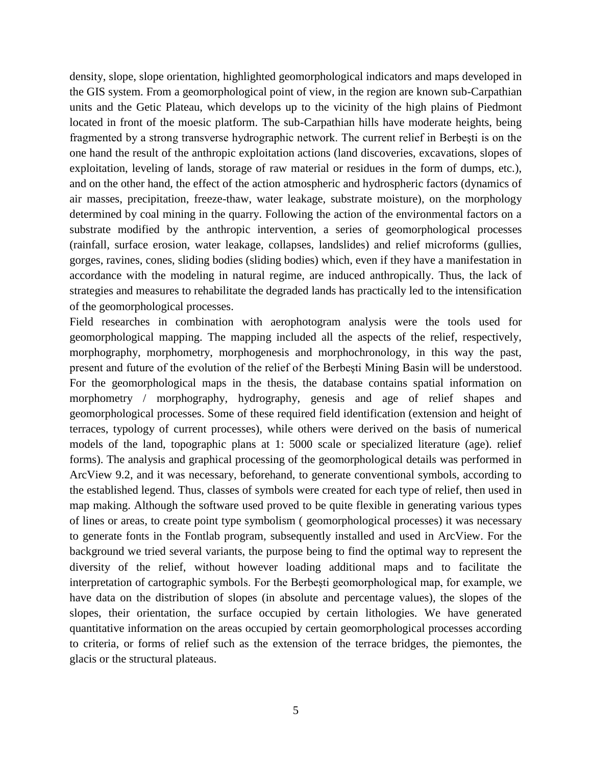density, slope, slope orientation, highlighted geomorphological indicators and maps developed in the GIS system. From a geomorphological point of view, in the region are known sub-Carpathian units and the Getic Plateau, which develops up to the vicinity of the high plains of Piedmont located in front of the moesic platform. The sub-Carpathian hills have moderate heights, being fragmented by a strong transverse hydrographic network. The current relief in Berbeşti is on the one hand the result of the anthropic exploitation actions (land discoveries, excavations, slopes of exploitation, leveling of lands, storage of raw material or residues in the form of dumps, etc.), and on the other hand, the effect of the action atmospheric and hydrospheric factors (dynamics of air masses, precipitation, freeze-thaw, water leakage, substrate moisture), on the morphology determined by coal mining in the quarry. Following the action of the environmental factors on a substrate modified by the anthropic intervention, a series of geomorphological processes (rainfall, surface erosion, water leakage, collapses, landslides) and relief microforms (gullies, gorges, ravines, cones, sliding bodies (sliding bodies) which, even if they have a manifestation in accordance with the modeling in natural regime, are induced anthropically. Thus, the lack of strategies and measures to rehabilitate the degraded lands has practically led to the intensification of the geomorphological processes.

Field researches in combination with aerophotogram analysis were the tools used for geomorphological mapping. The mapping included all the aspects of the relief, respectively, morphography, morphometry, morphogenesis and morphochronology, in this way the past, present and future of the evolution of the relief of the Berbeşti Mining Basin will be understood. For the geomorphological maps in the thesis, the database contains spatial information on morphometry / morphography, hydrography, genesis and age of relief shapes and geomorphological processes. Some of these required field identification (extension and height of terraces, typology of current processes), while others were derived on the basis of numerical models of the land, topographic plans at 1: 5000 scale or specialized literature (age). relief forms). The analysis and graphical processing of the geomorphological details was performed in ArcView 9.2, and it was necessary, beforehand, to generate conventional symbols, according to the established legend. Thus, classes of symbols were created for each type of relief, then used in map making. Although the software used proved to be quite flexible in generating various types of lines or areas, to create point type symbolism ( geomorphological processes) it was necessary to generate fonts in the Fontlab program, subsequently installed and used in ArcView. For the background we tried several variants, the purpose being to find the optimal way to represent the diversity of the relief, without however loading additional maps and to facilitate the interpretation of cartographic symbols. For the Berbeşti geomorphological map, for example, we have data on the distribution of slopes (in absolute and percentage values), the slopes of the slopes, their orientation, the surface occupied by certain lithologies. We have generated quantitative information on the areas occupied by certain geomorphological processes according to criteria, or forms of relief such as the extension of the terrace bridges, the piemontes, the glacis or the structural plateaus.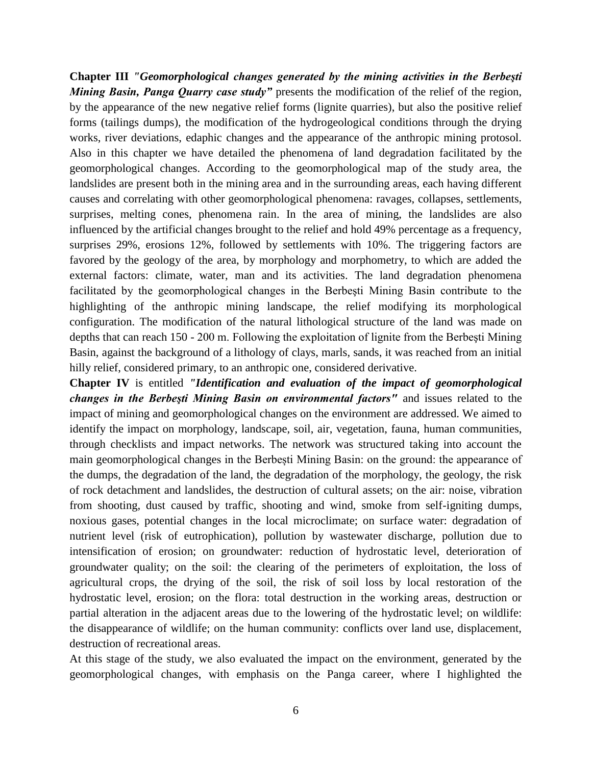**Chapter III** *"Geomorphological changes generated by the mining activities in the Berbeşti Mining Basin, Panga Quarry case study"* presents the modification of the relief of the region, by the appearance of the new negative relief forms (lignite quarries), but also the positive relief forms (tailings dumps), the modification of the hydrogeological conditions through the drying works, river deviations, edaphic changes and the appearance of the anthropic mining protosol. Also in this chapter we have detailed the phenomena of land degradation facilitated by the geomorphological changes. According to the geomorphological map of the study area, the landslides are present both in the mining area and in the surrounding areas, each having different causes and correlating with other geomorphological phenomena: ravages, collapses, settlements, surprises, melting cones, phenomena rain. In the area of mining, the landslides are also influenced by the artificial changes brought to the relief and hold 49% percentage as a frequency, surprises 29%, erosions 12%, followed by settlements with 10%. The triggering factors are favored by the geology of the area, by morphology and morphometry, to which are added the external factors: climate, water, man and its activities. The land degradation phenomena facilitated by the geomorphological changes in the Berbeşti Mining Basin contribute to the highlighting of the anthropic mining landscape, the relief modifying its morphological configuration. The modification of the natural lithological structure of the land was made on depths that can reach 150 - 200 m. Following the exploitation of lignite from the Berbeşti Mining Basin, against the background of a lithology of clays, marls, sands, it was reached from an initial hilly relief, considered primary, to an anthropic one, considered derivative.

**Chapter IV** is entitled *"Identification and evaluation of the impact of geomorphological changes in the Berbeşti Mining Basin on environmental factors"* and issues related to the impact of mining and geomorphological changes on the environment are addressed. We aimed to identify the impact on morphology, landscape, soil, air, vegetation, fauna, human communities, through checklists and impact networks. The network was structured taking into account the main geomorphological changes in the Berbești Mining Basin: on the ground: the appearance of the dumps, the degradation of the land, the degradation of the morphology, the geology, the risk of rock detachment and landslides, the destruction of cultural assets; on the air: noise, vibration from shooting, dust caused by traffic, shooting and wind, smoke from self-igniting dumps, noxious gases, potential changes in the local microclimate; on surface water: degradation of nutrient level (risk of eutrophication), pollution by wastewater discharge, pollution due to intensification of erosion; on groundwater: reduction of hydrostatic level, deterioration of groundwater quality; on the soil: the clearing of the perimeters of exploitation, the loss of agricultural crops, the drying of the soil, the risk of soil loss by local restoration of the hydrostatic level, erosion; on the flora: total destruction in the working areas, destruction or partial alteration in the adjacent areas due to the lowering of the hydrostatic level; on wildlife: the disappearance of wildlife; on the human community: conflicts over land use, displacement, destruction of recreational areas.

At this stage of the study, we also evaluated the impact on the environment, generated by the geomorphological changes, with emphasis on the Panga career, where I highlighted the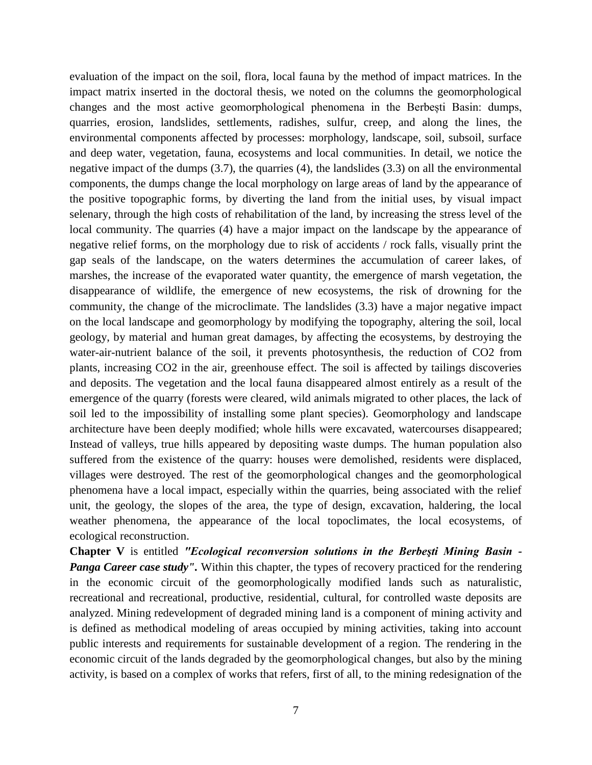evaluation of the impact on the soil, flora, local fauna by the method of impact matrices. In the impact matrix inserted in the doctoral thesis, we noted on the columns the geomorphological changes and the most active geomorphological phenomena in the Berbești Basin: dumps, quarries, erosion, landslides, settlements, radishes, sulfur, creep, and along the lines, the environmental components affected by processes: morphology, landscape, soil, subsoil, surface and deep water, vegetation, fauna, ecosystems and local communities. In detail, we notice the negative impact of the dumps (3.7), the quarries (4), the landslides (3.3) on all the environmental components, the dumps change the local morphology on large areas of land by the appearance of the positive topographic forms, by diverting the land from the initial uses, by visual impact selenary, through the high costs of rehabilitation of the land, by increasing the stress level of the local community. The quarries (4) have a major impact on the landscape by the appearance of negative relief forms, on the morphology due to risk of accidents / rock falls, visually print the gap seals of the landscape, on the waters determines the accumulation of career lakes, of marshes, the increase of the evaporated water quantity, the emergence of marsh vegetation, the disappearance of wildlife, the emergence of new ecosystems, the risk of drowning for the community, the change of the microclimate. The landslides (3.3) have a major negative impact on the local landscape and geomorphology by modifying the topography, altering the soil, local geology, by material and human great damages, by affecting the ecosystems, by destroying the water-air-nutrient balance of the soil, it prevents photosynthesis, the reduction of CO2 from plants, increasing CO2 in the air, greenhouse effect. The soil is affected by tailings discoveries and deposits. The vegetation and the local fauna disappeared almost entirely as a result of the emergence of the quarry (forests were cleared, wild animals migrated to other places, the lack of soil led to the impossibility of installing some plant species). Geomorphology and landscape architecture have been deeply modified; whole hills were excavated, watercourses disappeared; Instead of valleys, true hills appeared by depositing waste dumps. The human population also suffered from the existence of the quarry: houses were demolished, residents were displaced, villages were destroyed. The rest of the geomorphological changes and the geomorphological phenomena have a local impact, especially within the quarries, being associated with the relief unit, the geology, the slopes of the area, the type of design, excavation, haldering, the local weather phenomena, the appearance of the local topoclimates, the local ecosystems, of ecological reconstruction.

**Chapter V** is entitled *"Ecological reconversion solutions in the Berbeşti Mining Basin - Panga Career case study"*. Within this chapter, the types of recovery practiced for the rendering in the economic circuit of the geomorphologically modified lands such as naturalistic, recreational and recreational, productive, residential, cultural, for controlled waste deposits are analyzed. Mining redevelopment of degraded mining land is a component of mining activity and is defined as methodical modeling of areas occupied by mining activities, taking into account public interests and requirements for sustainable development of a region. The rendering in the economic circuit of the lands degraded by the geomorphological changes, but also by the mining activity, is based on a complex of works that refers, first of all, to the mining redesignation of the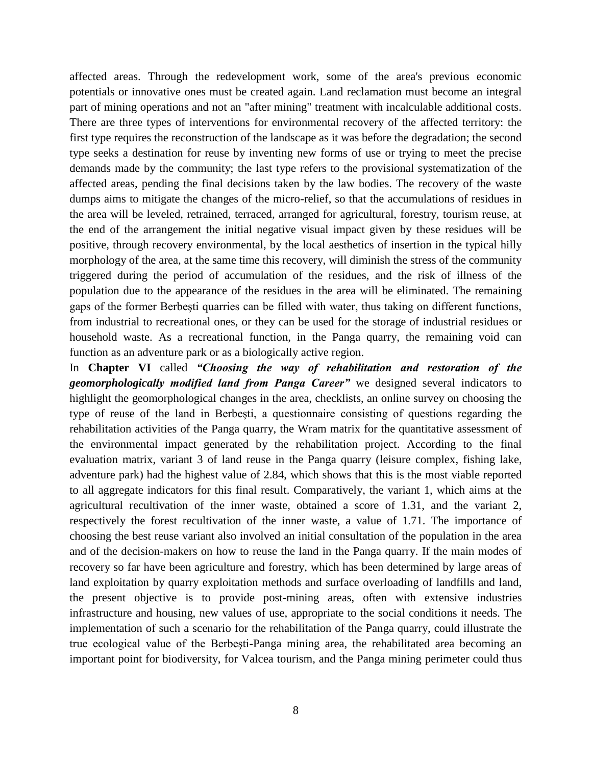affected areas. Through the redevelopment work, some of the area's previous economic potentials or innovative ones must be created again. Land reclamation must become an integral part of mining operations and not an "after mining" treatment with incalculable additional costs. There are three types of interventions for environmental recovery of the affected territory: the first type requires the reconstruction of the landscape as it was before the degradation; the second type seeks a destination for reuse by inventing new forms of use or trying to meet the precise demands made by the community; the last type refers to the provisional systematization of the affected areas, pending the final decisions taken by the law bodies. The recovery of the waste dumps aims to mitigate the changes of the micro-relief, so that the accumulations of residues in the area will be leveled, retrained, terraced, arranged for agricultural, forestry, tourism reuse, at the end of the arrangement the initial negative visual impact given by these residues will be positive, through recovery environmental, by the local aesthetics of insertion in the typical hilly morphology of the area, at the same time this recovery, will diminish the stress of the community triggered during the period of accumulation of the residues, and the risk of illness of the population due to the appearance of the residues in the area will be eliminated. The remaining gaps of the former Berbeşti quarries can be filled with water, thus taking on different functions, from industrial to recreational ones, or they can be used for the storage of industrial residues or household waste. As a recreational function, in the Panga quarry, the remaining void can function as an adventure park or as a biologically active region.

In **Chapter VI** called *"Choosing the way of rehabilitation and restoration of the geomorphologically modified land from Panga Career"* we designed several indicators to highlight the geomorphological changes in the area, checklists, an online survey on choosing the type of reuse of the land in Berbeşti, a questionnaire consisting of questions regarding the rehabilitation activities of the Panga quarry, the Wram matrix for the quantitative assessment of the environmental impact generated by the rehabilitation project. According to the final evaluation matrix, variant 3 of land reuse in the Panga quarry (leisure complex, fishing lake, adventure park) had the highest value of 2.84, which shows that this is the most viable reported to all aggregate indicators for this final result. Comparatively, the variant 1, which aims at the agricultural recultivation of the inner waste, obtained a score of 1.31, and the variant 2, respectively the forest recultivation of the inner waste, a value of 1.71. The importance of choosing the best reuse variant also involved an initial consultation of the population in the area and of the decision-makers on how to reuse the land in the Panga quarry. If the main modes of recovery so far have been agriculture and forestry, which has been determined by large areas of land exploitation by quarry exploitation methods and surface overloading of landfills and land, the present objective is to provide post-mining areas, often with extensive industries infrastructure and housing, new values of use, appropriate to the social conditions it needs. The implementation of such a scenario for the rehabilitation of the Panga quarry, could illustrate the true ecological value of the Berbeşti-Panga mining area, the rehabilitated area becoming an important point for biodiversity, for Valcea tourism, and the Panga mining perimeter could thus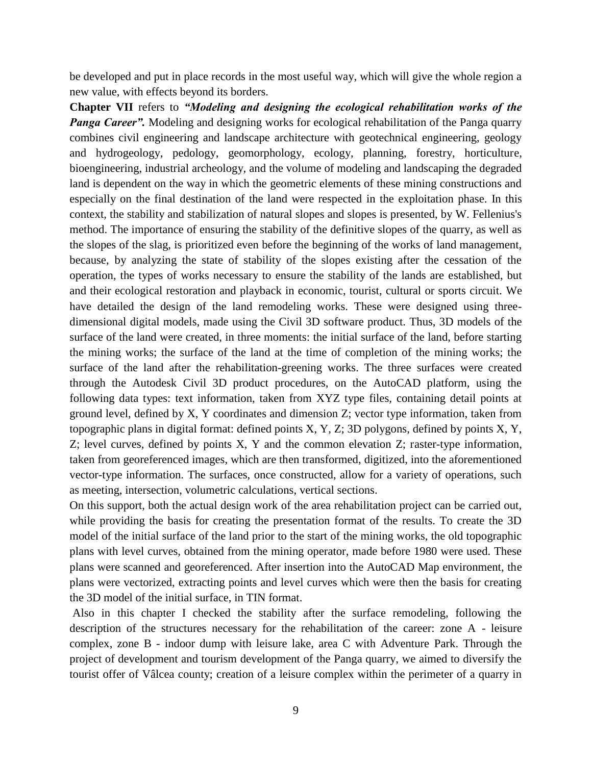be developed and put in place records in the most useful way, which will give the whole region a new value, with effects beyond its borders.

**Chapter VII** refers to *"Modeling and designing the ecological rehabilitation works of the Panga Career".* Modeling and designing works for ecological rehabilitation of the Panga quarry combines civil engineering and landscape architecture with geotechnical engineering, geology and hydrogeology, pedology, geomorphology, ecology, planning, forestry, horticulture, bioengineering, industrial archeology, and the volume of modeling and landscaping the degraded land is dependent on the way in which the geometric elements of these mining constructions and especially on the final destination of the land were respected in the exploitation phase. In this context, the stability and stabilization of natural slopes and slopes is presented, by W. Fellenius's method. The importance of ensuring the stability of the definitive slopes of the quarry, as well as the slopes of the slag, is prioritized even before the beginning of the works of land management, because, by analyzing the state of stability of the slopes existing after the cessation of the operation, the types of works necessary to ensure the stability of the lands are established, but and their ecological restoration and playback in economic, tourist, cultural or sports circuit. We have detailed the design of the land remodeling works. These were designed using threedimensional digital models, made using the Civil 3D software product. Thus, 3D models of the surface of the land were created, in three moments: the initial surface of the land, before starting the mining works; the surface of the land at the time of completion of the mining works; the surface of the land after the rehabilitation-greening works. The three surfaces were created through the Autodesk Civil 3D product procedures, on the AutoCAD platform, using the following data types: text information, taken from XYZ type files, containing detail points at ground level, defined by X, Y coordinates and dimension Z; vector type information, taken from topographic plans in digital format: defined points X, Y, Z; 3D polygons, defined by points X, Y, Z; level curves, defined by points X, Y and the common elevation Z; raster-type information, taken from georeferenced images, which are then transformed, digitized, into the aforementioned vector-type information. The surfaces, once constructed, allow for a variety of operations, such as meeting, intersection, volumetric calculations, vertical sections.

On this support, both the actual design work of the area rehabilitation project can be carried out, while providing the basis for creating the presentation format of the results. To create the 3D model of the initial surface of the land prior to the start of the mining works, the old topographic plans with level curves, obtained from the mining operator, made before 1980 were used. These plans were scanned and georeferenced. After insertion into the AutoCAD Map environment, the plans were vectorized, extracting points and level curves which were then the basis for creating the 3D model of the initial surface, in TIN format.

Also in this chapter I checked the stability after the surface remodeling, following the description of the structures necessary for the rehabilitation of the career: zone A - leisure complex, zone B - indoor dump with leisure lake, area C with Adventure Park. Through the project of development and tourism development of the Panga quarry, we aimed to diversify the tourist offer of Vâlcea county; creation of a leisure complex within the perimeter of a quarry in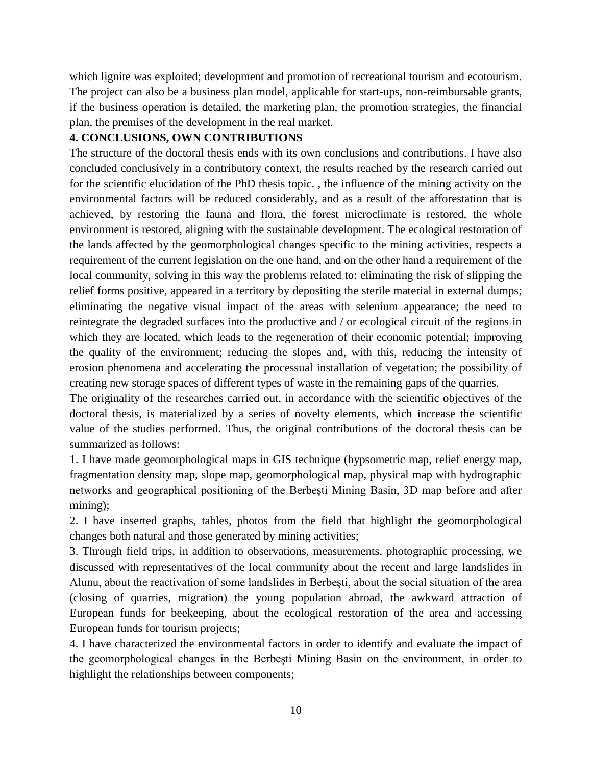which lignite was exploited; development and promotion of recreational tourism and ecotourism. The project can also be a business plan model, applicable for start-ups, non-reimbursable grants, if the business operation is detailed, the marketing plan, the promotion strategies, the financial plan, the premises of the development in the real market.

#### **4. CONCLUSIONS, OWN CONTRIBUTIONS**

The structure of the doctoral thesis ends with its own conclusions and contributions. I have also concluded conclusively in a contributory context, the results reached by the research carried out for the scientific elucidation of the PhD thesis topic. , the influence of the mining activity on the environmental factors will be reduced considerably, and as a result of the afforestation that is achieved, by restoring the fauna and flora, the forest microclimate is restored, the whole environment is restored, aligning with the sustainable development. The ecological restoration of the lands affected by the geomorphological changes specific to the mining activities, respects a requirement of the current legislation on the one hand, and on the other hand a requirement of the local community, solving in this way the problems related to: eliminating the risk of slipping the relief forms positive, appeared in a territory by depositing the sterile material in external dumps; eliminating the negative visual impact of the areas with selenium appearance; the need to reintegrate the degraded surfaces into the productive and / or ecological circuit of the regions in which they are located, which leads to the regeneration of their economic potential; improving the quality of the environment; reducing the slopes and, with this, reducing the intensity of erosion phenomena and accelerating the processual installation of vegetation; the possibility of creating new storage spaces of different types of waste in the remaining gaps of the quarries.

The originality of the researches carried out, in accordance with the scientific objectives of the doctoral thesis, is materialized by a series of novelty elements, which increase the scientific value of the studies performed. Thus, the original contributions of the doctoral thesis can be summarized as follows:

1. I have made geomorphological maps in GIS technique (hypsometric map, relief energy map, fragmentation density map, slope map, geomorphological map, physical map with hydrographic networks and geographical positioning of the Berbeşti Mining Basin, 3D map before and after mining);

2. I have inserted graphs, tables, photos from the field that highlight the geomorphological changes both natural and those generated by mining activities;

3. Through field trips, in addition to observations, measurements, photographic processing, we discussed with representatives of the local community about the recent and large landslides in Alunu, about the reactivation of some landslides in Berbeşti, about the social situation of the area (closing of quarries, migration) the young population abroad, the awkward attraction of European funds for beekeeping, about the ecological restoration of the area and accessing European funds for tourism projects;

4. I have characterized the environmental factors in order to identify and evaluate the impact of the geomorphological changes in the Berbeşti Mining Basin on the environment, in order to highlight the relationships between components;